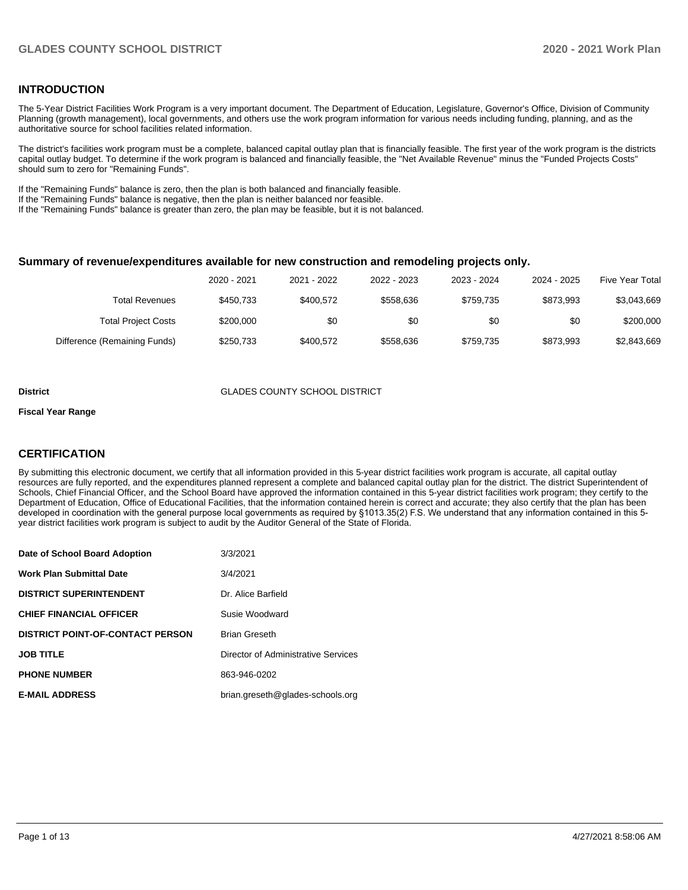## **INTRODUCTION**

The 5-Year District Facilities Work Program is a very important document. The Department of Education, Legislature, Governor's Office, Division of Community Planning (growth management), local governments, and others use the work program information for various needs including funding, planning, and as the authoritative source for school facilities related information.

The district's facilities work program must be a complete, balanced capital outlay plan that is financially feasible. The first year of the work program is the districts capital outlay budget. To determine if the work program is balanced and financially feasible, the "Net Available Revenue" minus the "Funded Projects Costs" should sum to zero for "Remaining Funds".

If the "Remaining Funds" balance is zero, then the plan is both balanced and financially feasible.

If the "Remaining Funds" balance is negative, then the plan is neither balanced nor feasible.

If the "Remaining Funds" balance is greater than zero, the plan may be feasible, but it is not balanced.

### **Summary of revenue/expenditures available for new construction and remodeling projects only.**

| <b>Five Year Total</b> | 2024 - 2025 | 2023 - 2024 | 2022 - 2023 | 2021 - 2022 | 2020 - 2021 |                              |
|------------------------|-------------|-------------|-------------|-------------|-------------|------------------------------|
| \$3.043.669            | \$873.993   | \$759.735   | \$558.636   | \$400.572   | \$450.733   | Total Revenues               |
| \$200,000              | \$0         | \$0         | \$0         | \$0         | \$200,000   | <b>Total Project Costs</b>   |
| \$2,843,669            | \$873.993   | \$759.735   | \$558.636   | \$400.572   | \$250,733   | Difference (Remaining Funds) |

#### **District GLADES COUNTY SCHOOL DISTRICT**

#### **Fiscal Year Range**

## **CERTIFICATION**

By submitting this electronic document, we certify that all information provided in this 5-year district facilities work program is accurate, all capital outlay resources are fully reported, and the expenditures planned represent a complete and balanced capital outlay plan for the district. The district Superintendent of Schools, Chief Financial Officer, and the School Board have approved the information contained in this 5-year district facilities work program; they certify to the Department of Education, Office of Educational Facilities, that the information contained herein is correct and accurate; they also certify that the plan has been developed in coordination with the general purpose local governments as required by §1013.35(2) F.S. We understand that any information contained in this 5 year district facilities work program is subject to audit by the Auditor General of the State of Florida.

| Date of School Board Adoption           | 3/3/2021                            |
|-----------------------------------------|-------------------------------------|
| <b>Work Plan Submittal Date</b>         | 3/4/2021                            |
| <b>DISTRICT SUPERINTENDENT</b>          | Dr. Alice Barfield                  |
| <b>CHIEF FINANCIAL OFFICER</b>          | Susie Woodward                      |
| <b>DISTRICT POINT-OF-CONTACT PERSON</b> | <b>Brian Greseth</b>                |
| <b>JOB TITLE</b>                        | Director of Administrative Services |
| <b>PHONE NUMBER</b>                     | 863-946-0202                        |
| <b>E-MAIL ADDRESS</b>                   | brian.greseth@glades-schools.org    |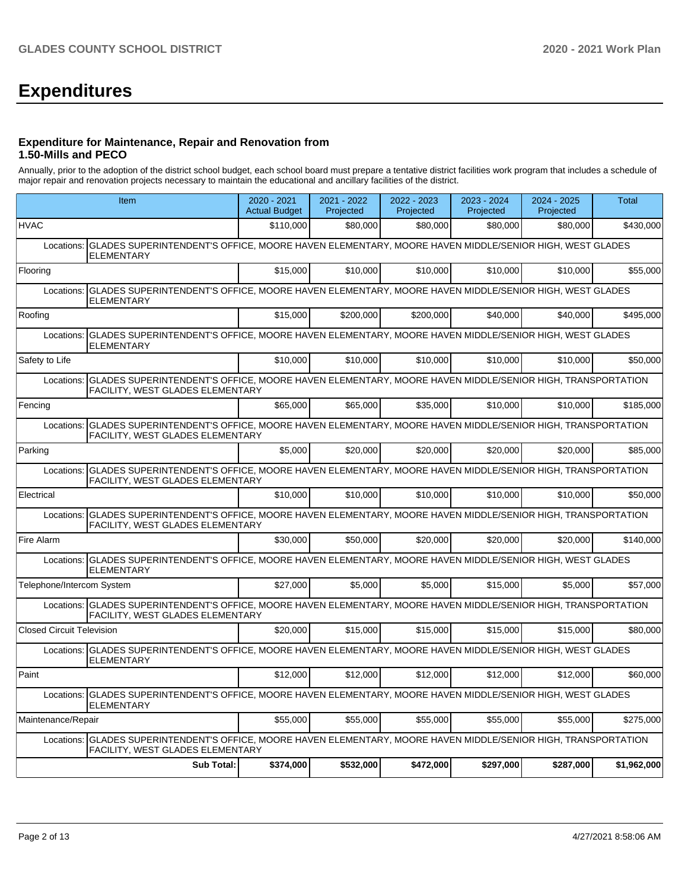# **Expenditures**

## **Expenditure for Maintenance, Repair and Renovation from 1.50-Mills and PECO**

Annually, prior to the adoption of the district school budget, each school board must prepare a tentative district facilities work program that includes a schedule of major repair and renovation projects necessary to maintain the educational and ancillary facilities of the district.

|                                  | <b>Item</b>                                                                                                                                             | 2020 - 2021<br><b>Actual Budget</b> | 2021 - 2022<br>Projected | 2022 - 2023<br>Projected | 2023 - 2024<br>Projected | 2024 - 2025<br>Projected | <b>Total</b> |  |  |  |
|----------------------------------|---------------------------------------------------------------------------------------------------------------------------------------------------------|-------------------------------------|--------------------------|--------------------------|--------------------------|--------------------------|--------------|--|--|--|
| <b>HVAC</b>                      |                                                                                                                                                         | \$110,000                           | \$80,000                 | \$80,000                 | \$80,000                 | \$80,000                 | \$430,000    |  |  |  |
| Locations:                       | GLADES SUPERINTENDENT'S OFFICE, MOORE HAVEN ELEMENTARY, MOORE HAVEN MIDDLE/SENIOR HIGH, WEST GLADES<br><b>ELEMENTARY</b>                                |                                     |                          |                          |                          |                          |              |  |  |  |
| Flooring                         |                                                                                                                                                         | \$15,000                            | \$10.000                 | \$10,000                 | \$10,000                 | \$10,000                 | \$55,000     |  |  |  |
| Locations:                       | GLADES SUPERINTENDENT'S OFFICE, MOORE HAVEN ELEMENTARY, MOORE HAVEN MIDDLE/SENIOR HIGH, WEST GLADES<br><b>ELEMENTARY</b>                                |                                     |                          |                          |                          |                          |              |  |  |  |
| Roofing                          |                                                                                                                                                         | \$15,000                            | \$200.000                | \$200.000                | \$40,000                 | \$40,000                 | \$495.000    |  |  |  |
| Locations:                       | GLADES SUPERINTENDENT'S OFFICE, MOORE HAVEN ELEMENTARY, MOORE HAVEN MIDDLE/SENIOR HIGH, WEST GLADES<br><b>ELEMENTARY</b>                                |                                     |                          |                          |                          |                          |              |  |  |  |
| Safety to Life                   |                                                                                                                                                         | \$10,000                            | \$10,000                 | \$10,000                 | \$10,000                 | \$10,000                 | \$50,000     |  |  |  |
|                                  | Locations: GLADES SUPERINTENDENT'S OFFICE, MOORE HAVEN ELEMENTARY, MOORE HAVEN MIDDLE/SENIOR HIGH, TRANSPORTATION<br>FACILITY, WEST GLADES ELEMENTARY   |                                     |                          |                          |                          |                          |              |  |  |  |
| Fencing                          |                                                                                                                                                         | \$65,000                            | \$65,000                 | \$35,000                 | \$10,000                 | \$10,000                 | \$185.000    |  |  |  |
| Locations:                       | GLADES SUPERINTENDENT'S OFFICE, MOORE HAVEN ELEMENTARY, MOORE HAVEN MIDDLE/SENIOR HIGH, TRANSPORTATION<br>FACILITY, WEST GLADES ELEMENTARY              |                                     |                          |                          |                          |                          |              |  |  |  |
| Parking                          |                                                                                                                                                         | \$5.000                             | \$20,000                 | \$20,000                 | \$20,000                 | \$20,000                 | \$85,000     |  |  |  |
| Locations:                       | GLADES SUPERINTENDENT'S OFFICE, MOORE HAVEN ELEMENTARY, MOORE HAVEN MIDDLE/SENIOR HIGH, TRANSPORTATION<br><b>FACILITY, WEST GLADES ELEMENTARY</b>       |                                     |                          |                          |                          |                          |              |  |  |  |
| Electrical                       |                                                                                                                                                         | \$10,000                            | \$10.000                 | \$10,000                 | \$10,000                 | \$10.000                 | \$50.000     |  |  |  |
| Locations:                       | GLADES SUPERINTENDENT'S OFFICE, MOORE HAVEN ELEMENTARY, MOORE HAVEN MIDDLE/SENIOR HIGH, TRANSPORTATION<br>FACILITY, WEST GLADES ELEMENTARY              |                                     |                          |                          |                          |                          |              |  |  |  |
| Fire Alarm                       |                                                                                                                                                         | \$30,000                            | \$50,000                 | \$20,000                 | \$20,000                 | \$20,000                 | \$140,000    |  |  |  |
|                                  | Locations: GLADES SUPERINTENDENT'S OFFICE, MOORE HAVEN ELEMENTARY, MOORE HAVEN MIDDLE/SENIOR HIGH, WEST GLADES<br><b>ELEMENTARY</b>                     |                                     |                          |                          |                          |                          |              |  |  |  |
| Telephone/Intercom System        |                                                                                                                                                         | \$27,000                            | \$5,000                  | \$5,000                  | \$15,000                 | \$5,000                  | \$57,000     |  |  |  |
|                                  | Locations: GLADES SUPERINTENDENT'S OFFICE, MOORE HAVEN ELEMENTARY, MOORE HAVEN MIDDLE/SENIOR HIGH, TRANSPORTATION<br>FACILITY, WEST GLADES ELEMENTARY   |                                     |                          |                          |                          |                          |              |  |  |  |
| <b>Closed Circuit Television</b> |                                                                                                                                                         | \$20,000                            | \$15,000                 | \$15,000                 | \$15,000                 | \$15,000                 | \$80,000     |  |  |  |
| Locations:                       | GLADES SUPERINTENDENT'S OFFICE, MOORE HAVEN ELEMENTARY, MOORE HAVEN MIDDLE/SENIOR HIGH, WEST GLADES<br><b>ELEMENTARY</b>                                |                                     |                          |                          |                          |                          |              |  |  |  |
| Paint                            |                                                                                                                                                         | \$12,000                            | \$12,000                 | \$12,000                 | \$12,000                 | \$12,000                 | \$60,000     |  |  |  |
|                                  | Locations: GLADES SUPERINTENDENT'S OFFICE, MOORE HAVEN ELEMENTARY, MOORE HAVEN MIDDLE/SENIOR HIGH, WEST GLADES<br><b>ELEMENTARY</b>                     |                                     |                          |                          |                          |                          |              |  |  |  |
| Maintenance/Repair               |                                                                                                                                                         | \$55,000                            | \$55,000                 | \$55,000                 | \$55,000                 | \$55,000                 | \$275,000    |  |  |  |
|                                  | Locations:   GLADES SUPERINTENDENT'S OFFICE, MOORE HAVEN ELEMENTARY, MOORE HAVEN MIDDLE/SENIOR HIGH, TRANSPORTATION<br>FACILITY, WEST GLADES ELEMENTARY |                                     |                          |                          |                          |                          |              |  |  |  |
|                                  | <b>Sub Total:</b>                                                                                                                                       | \$374,000                           | \$532,000                | \$472,000                | \$297,000                | \$287,000                | \$1,962,000  |  |  |  |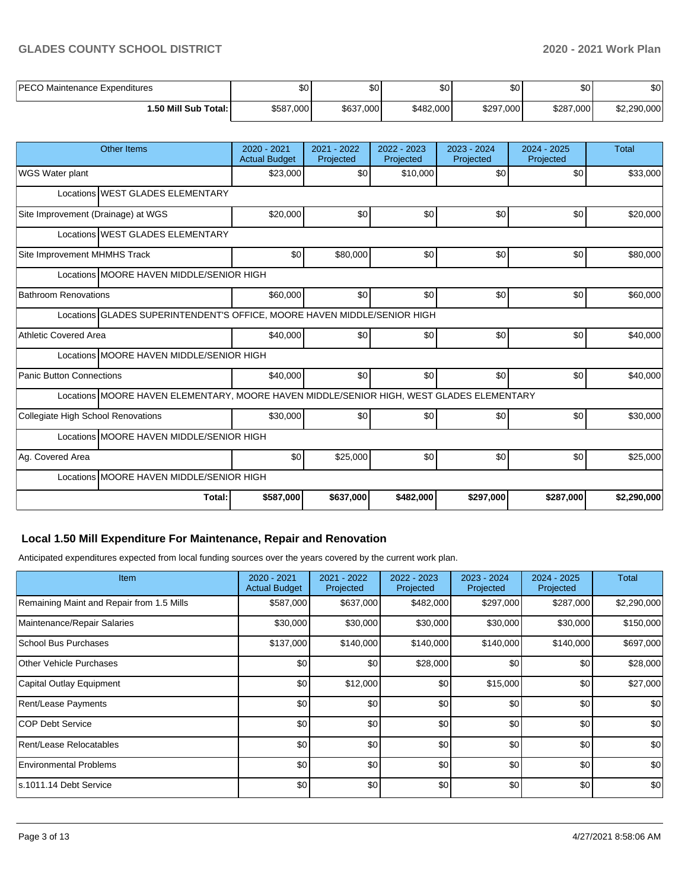## **GLADES COUNTY SCHOOL DISTRICT 2020 - 2021 Work Plan**

| IPECO.<br>Maintenance Expenditures<br>⊏∪∪ | $\sim$<br>υ∪ | $\sim$<br>υ∪ | <b>SO</b>          | ሶስ<br>υU  | ሖ<br>æО   | $\sim$<br>ΦU |
|-------------------------------------------|--------------|--------------|--------------------|-----------|-----------|--------------|
| 1.50 Mill Sub Total: İ                    | \$587,000    | \$637,000    | \$482.000 <b> </b> | \$297,000 | \$287,000 | \$2,290,000  |

| <b>Other Items</b>                                                                       | $2020 - 2021$<br><b>Actual Budget</b> | 2021 - 2022<br>Projected | 2022 - 2023<br>Projected | 2023 - 2024<br>Projected | $2024 - 2025$<br>Projected | <b>Total</b> |  |  |  |  |
|------------------------------------------------------------------------------------------|---------------------------------------|--------------------------|--------------------------|--------------------------|----------------------------|--------------|--|--|--|--|
| WGS Water plant                                                                          | \$23,000                              | \$0                      | \$10,000                 | \$0                      | \$0                        | \$33,000     |  |  |  |  |
| Locations WEST GLADES ELEMENTARY                                                         |                                       |                          |                          |                          |                            |              |  |  |  |  |
| Site Improvement (Drainage) at WGS                                                       | \$20,000                              | \$0                      | \$0                      | \$0                      | \$0                        | \$20,000     |  |  |  |  |
| Locations WEST GLADES ELEMENTARY                                                         |                                       |                          |                          |                          |                            |              |  |  |  |  |
| Site Improvement MHMHS Track                                                             | \$0                                   | \$80,000                 | \$0                      | \$0                      | \$0                        | \$80,000     |  |  |  |  |
| Locations MOORE HAVEN MIDDLE/SENIOR HIGH                                                 |                                       |                          |                          |                          |                            |              |  |  |  |  |
| <b>Bathroom Renovations</b>                                                              | \$60,000                              | \$0                      | \$0                      | \$0                      | \$0                        | \$60,000     |  |  |  |  |
| Locations GLADES SUPERINTENDENT'S OFFICE, MOORE HAVEN MIDDLE/SENIOR HIGH                 |                                       |                          |                          |                          |                            |              |  |  |  |  |
| <b>Athletic Covered Area</b>                                                             | \$40,000                              | \$0                      | \$0                      | \$0                      | \$0                        | \$40,000     |  |  |  |  |
| Locations MOORE HAVEN MIDDLE/SENIOR HIGH                                                 |                                       |                          |                          |                          |                            |              |  |  |  |  |
| <b>Panic Button Connections</b>                                                          | \$40,000                              | \$0                      | \$0                      | \$0                      | \$0                        | \$40,000     |  |  |  |  |
| Locations MOORE HAVEN ELEMENTARY, MOORE HAVEN MIDDLE/SENIOR HIGH, WEST GLADES ELEMENTARY |                                       |                          |                          |                          |                            |              |  |  |  |  |
| Collegiate High School Renovations                                                       | \$30,000                              | \$0                      | \$0                      | \$0                      | \$0                        | \$30,000     |  |  |  |  |
| Locations MOORE HAVEN MIDDLE/SENIOR HIGH                                                 |                                       |                          |                          |                          |                            |              |  |  |  |  |
| Ag. Covered Area                                                                         | \$0                                   | \$25,000                 | \$0                      | \$0                      | \$0                        | \$25,000     |  |  |  |  |
| Locations MOORE HAVEN MIDDLE/SENIOR HIGH                                                 |                                       |                          |                          |                          |                            |              |  |  |  |  |
| Total:                                                                                   | \$587,000                             | \$637,000                | \$482,000                | \$297,000                | \$287,000                  | \$2,290,000  |  |  |  |  |

# **Local 1.50 Mill Expenditure For Maintenance, Repair and Renovation**

Anticipated expenditures expected from local funding sources over the years covered by the current work plan.

| <b>Item</b>                               | 2020 - 2021<br><b>Actual Budget</b> | 2021 - 2022<br>Projected | 2022 - 2023<br>Projected | 2023 - 2024<br>Projected | 2024 - 2025<br>Projected | Total       |
|-------------------------------------------|-------------------------------------|--------------------------|--------------------------|--------------------------|--------------------------|-------------|
| Remaining Maint and Repair from 1.5 Mills | \$587,000                           | \$637,000                | \$482,000                | \$297,000                | \$287,000                | \$2,290,000 |
| Maintenance/Repair Salaries               | \$30,000                            | \$30,000                 | \$30,000                 | \$30,000                 | \$30,000                 | \$150,000   |
| <b>School Bus Purchases</b>               | \$137,000                           | \$140,000                | \$140,000                | \$140,000                | \$140,000                | \$697,000   |
| <b>Other Vehicle Purchases</b>            | \$0                                 | \$0                      | \$28,000                 | \$0                      | \$0                      | \$28,000    |
| Capital Outlay Equipment                  | \$0                                 | \$12,000                 | \$0                      | \$15,000                 | \$0                      | \$27,000    |
| Rent/Lease Payments                       | \$0                                 | \$0                      | \$0                      | \$0                      | \$0                      | \$0         |
| <b>COP Debt Service</b>                   | \$0 <sub>1</sub>                    | \$0                      | \$0                      | \$0                      | \$0                      | \$0         |
| Rent/Lease Relocatables                   | \$0                                 | \$0                      | \$0                      | \$0                      | \$0                      | \$0         |
| <b>Environmental Problems</b>             | \$0                                 | \$0                      | \$0                      | \$0                      | \$0                      | \$0         |
| s.1011.14 Debt Service                    | \$0                                 | \$0                      | \$0                      | \$0                      | \$0                      | \$0         |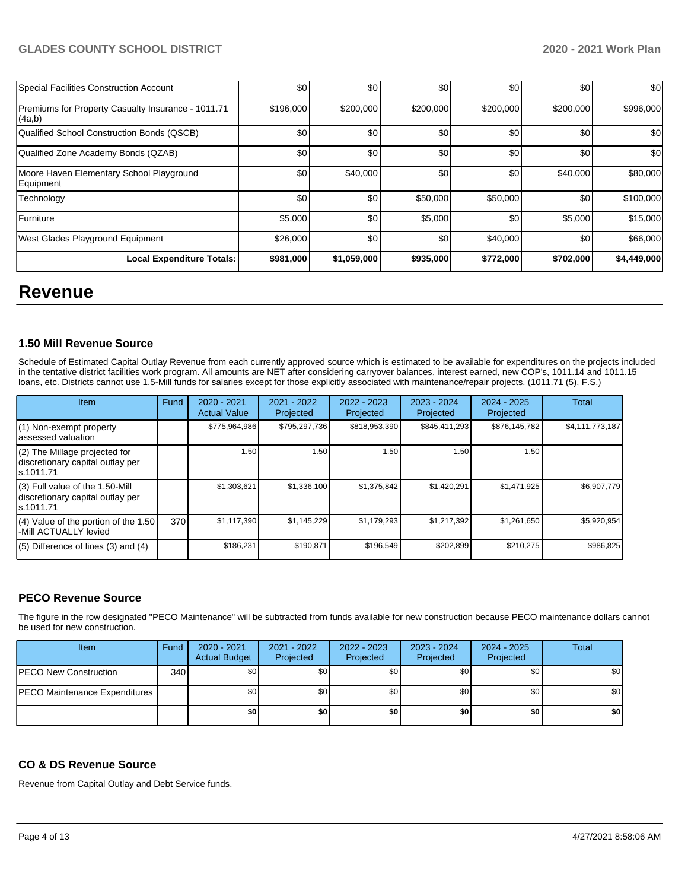| <b>Special Facilities Construction Account</b>               | \$0       | \$0         | \$0       | \$0       | \$0       | \$0         |
|--------------------------------------------------------------|-----------|-------------|-----------|-----------|-----------|-------------|
| Premiums for Property Casualty Insurance - 1011.71<br>(4a,b) | \$196,000 | \$200,000   | \$200,000 | \$200,000 | \$200,000 | \$996,000   |
| Qualified School Construction Bonds (QSCB)                   | \$0       | \$0         | \$0       | \$0       | \$0       | \$0         |
| Qualified Zone Academy Bonds (QZAB)                          | \$0       | \$0         | \$0       | \$0       | \$0       | \$0         |
| Moore Haven Elementary School Playground<br>Equipment        | \$0       | \$40,000    | \$0       | \$0       | \$40,000  | \$80,000    |
| Technology                                                   | \$0       | \$0         | \$50,000  | \$50,000  | \$0       | \$100,000   |
| Furniture                                                    | \$5,000   | \$0         | \$5,000   | \$0       | \$5,000   | \$15,000    |
| West Glades Playground Equipment                             | \$26,000  | \$0         | \$0       | \$40,000  | \$0       | \$66,000    |
| <b>Local Expenditure Totals:</b>                             | \$981,000 | \$1,059,000 | \$935,000 | \$772,000 | \$702,000 | \$4,449,000 |

# **Revenue**

## **1.50 Mill Revenue Source**

Schedule of Estimated Capital Outlay Revenue from each currently approved source which is estimated to be available for expenditures on the projects included in the tentative district facilities work program. All amounts are NET after considering carryover balances, interest earned, new COP's, 1011.14 and 1011.15 loans, etc. Districts cannot use 1.5-Mill funds for salaries except for those explicitly associated with maintenance/repair projects. (1011.71 (5), F.S.)

| <b>Item</b>                                                                         | Fund | $2020 - 2021$<br><b>Actual Value</b> | $2021 - 2022$<br>Projected | 2022 - 2023<br>Projected | 2023 - 2024<br>Projected | $2024 - 2025$<br>Projected | Total           |
|-------------------------------------------------------------------------------------|------|--------------------------------------|----------------------------|--------------------------|--------------------------|----------------------------|-----------------|
| $(1)$ Non-exempt property<br>lassessed valuation                                    |      | \$775,964,986                        | \$795,297,736              | \$818,953,390            | \$845,411,293            | \$876,145,782              | \$4,111,773,187 |
| $(2)$ The Millage projected for<br>discretionary capital outlay per<br>ls.1011.71   |      | 1.50                                 | 1.50                       | 1.50                     | 1.50                     | 1.50                       |                 |
| $(3)$ Full value of the 1.50-Mill<br>discretionary capital outlay per<br>ls.1011.71 |      | \$1,303,621                          | \$1,336,100                | \$1,375,842              | \$1,420,291              | \$1,471,925                | \$6,907,779     |
| $(4)$ Value of the portion of the 1.50<br>-Mill ACTUALLY levied                     | 370  | \$1,117,390                          | \$1,145,229                | \$1,179,293              | \$1,217,392              | \$1,261,650                | \$5,920,954     |
| $(5)$ Difference of lines $(3)$ and $(4)$                                           |      | \$186,231                            | \$190,871                  | \$196,549                | \$202,899                | \$210,275                  | \$986,825       |

## **PECO Revenue Source**

The figure in the row designated "PECO Maintenance" will be subtracted from funds available for new construction because PECO maintenance dollars cannot be used for new construction.

| Item                                 | Fund | 2020 - 2021<br><b>Actual Budget</b> | 2021 - 2022<br>Projected | 2022 - 2023<br>Projected | 2023 - 2024<br>Projected | $2024 - 2025$<br>Projected | Total |
|--------------------------------------|------|-------------------------------------|--------------------------|--------------------------|--------------------------|----------------------------|-------|
| <b>PECO New Construction</b>         | 340  | \$0                                 | \$0                      | \$0                      | \$0                      | \$0                        | \$0   |
| <b>PECO Maintenance Expenditures</b> |      | \$0                                 | \$0                      | \$0                      | \$0                      | \$0                        | \$0   |
|                                      |      | \$0                                 | \$0                      | \$0                      | \$0                      | \$0                        | \$0   |

## **CO & DS Revenue Source**

Revenue from Capital Outlay and Debt Service funds.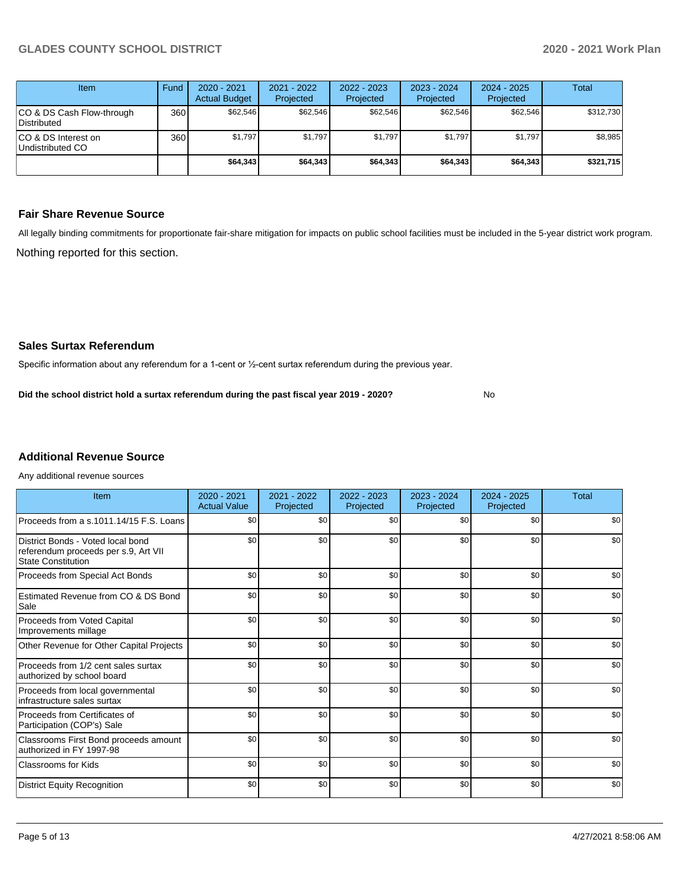| Item                                            | Fund | $2020 - 2021$<br><b>Actual Budget</b> | 2021 - 2022<br>Projected | 2022 - 2023<br>Projected | $2023 - 2024$<br>Projected | $2024 - 2025$<br>Projected | Total     |
|-------------------------------------------------|------|---------------------------------------|--------------------------|--------------------------|----------------------------|----------------------------|-----------|
| CO & DS Cash Flow-through<br><b>Distributed</b> | 360  | \$62,546                              | \$62,546                 | \$62.546                 | \$62,546                   | \$62,546                   | \$312.730 |
| CO & DS Interest on<br>Undistributed CO         | 360  | \$1,797                               | \$1,797                  | \$1,797                  | \$1.797                    | \$1,797                    | \$8,985   |
|                                                 |      | \$64,343                              | \$64,343                 | \$64,343                 | \$64,343                   | \$64,343                   | \$321,715 |

## **Fair Share Revenue Source**

Nothing reported for this section. All legally binding commitments for proportionate fair-share mitigation for impacts on public school facilities must be included in the 5-year district work program.

No

**Sales Surtax Referendum**

Specific information about any referendum for a 1-cent or ½-cent surtax referendum during the previous year.

**Did the school district hold a surtax referendum during the past fiscal year 2019 - 2020?**

# **Additional Revenue Source**

Any additional revenue sources

| Item                                                                                                   | 2020 - 2021<br><b>Actual Value</b> | 2021 - 2022<br>Projected | 2022 - 2023<br>Projected | 2023 - 2024<br>Projected | $2024 - 2025$<br>Projected | Total |
|--------------------------------------------------------------------------------------------------------|------------------------------------|--------------------------|--------------------------|--------------------------|----------------------------|-------|
| Proceeds from a s.1011.14/15 F.S. Loans                                                                | \$0                                | \$0                      | \$0                      | \$0                      | \$0                        | \$0   |
| District Bonds - Voted local bond<br>referendum proceeds per s.9, Art VII<br><b>State Constitution</b> | \$0                                | \$0                      | \$0                      | \$0                      | \$0                        | \$0   |
| Proceeds from Special Act Bonds                                                                        | \$0                                | \$0                      | \$0                      | \$0                      | \$0                        | \$0   |
| Estimated Revenue from CO & DS Bond<br>Sale                                                            | \$0                                | \$0                      | \$0                      | \$0                      | \$0                        | \$0   |
| Proceeds from Voted Capital<br>Improvements millage                                                    | \$0                                | \$0                      | \$0                      | \$0                      | \$0                        | \$0   |
| Other Revenue for Other Capital Projects                                                               | \$0                                | \$0                      | \$0                      | \$0                      | \$0                        | \$0   |
| Proceeds from 1/2 cent sales surtax<br>authorized by school board                                      | \$0                                | \$0                      | \$0                      | \$0                      | \$0                        | \$0   |
| Proceeds from local governmental<br>infrastructure sales surtax                                        | \$0                                | \$0                      | \$0                      | \$0                      | \$0                        | \$0   |
| Proceeds from Certificates of<br>Participation (COP's) Sale                                            | \$0                                | \$0                      | \$0                      | \$0                      | \$0                        | \$0   |
| Classrooms First Bond proceeds amount<br>authorized in FY 1997-98                                      | \$0                                | \$0                      | \$0                      | \$0                      | \$0                        | \$0   |
| <b>Classrooms for Kids</b>                                                                             | \$0                                | \$0                      | \$0                      | \$0                      | \$0                        | \$0   |
| <b>District Equity Recognition</b>                                                                     | \$0                                | \$0                      | \$0                      | \$0                      | \$0                        | \$0   |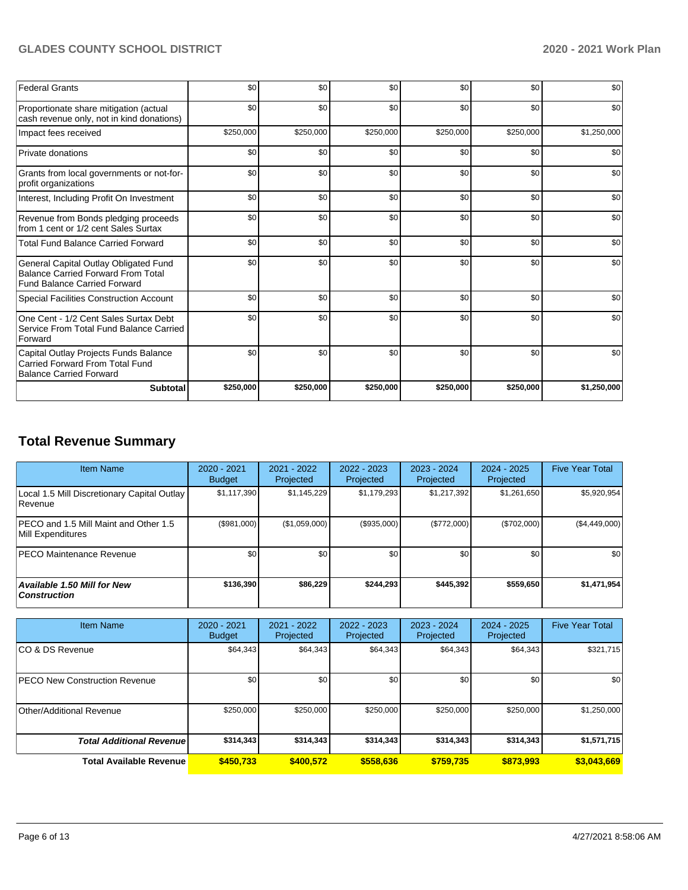# **GLADES COUNTY SCHOOL DISTRICT 2020 - 2021 Work Plan**

| <b>Federal Grants</b>                                                                                                     | \$0       | \$0       | \$0       | \$0       | \$0       | \$0         |
|---------------------------------------------------------------------------------------------------------------------------|-----------|-----------|-----------|-----------|-----------|-------------|
| Proportionate share mitigation (actual<br>cash revenue only, not in kind donations)                                       | \$0       | \$0       | \$0       | \$0       | \$0       | \$0         |
| Impact fees received                                                                                                      | \$250,000 | \$250,000 | \$250,000 | \$250,000 | \$250,000 | \$1,250,000 |
| Private donations                                                                                                         | \$0       | \$0       | \$0       | \$0       | \$0       | \$0         |
| Grants from local governments or not-for-<br>profit organizations                                                         | \$0       | \$0       | \$0       | \$0       | \$0       | \$0         |
| Interest, Including Profit On Investment                                                                                  | \$0       | \$0       | \$0       | \$0       | \$0       | \$0         |
| Revenue from Bonds pledging proceeds<br>from 1 cent or 1/2 cent Sales Surtax                                              | \$0       | \$0       | \$0       | \$0       | \$0       | \$0         |
| <b>Total Fund Balance Carried Forward</b>                                                                                 | \$0       | \$0       | \$0       | \$0       | \$0       | \$0         |
| General Capital Outlay Obligated Fund<br><b>Balance Carried Forward From Total</b><br><b>Fund Balance Carried Forward</b> | \$0       | \$0       | \$0       | \$0       | \$0       | \$0         |
| Special Facilities Construction Account                                                                                   | \$0       | \$0       | \$0       | \$0       | \$0       | \$0         |
| One Cent - 1/2 Cent Sales Surtax Debt<br>Service From Total Fund Balance Carried<br>Forward                               | \$0       | \$0       | \$0       | \$0       | \$0       | \$0         |
| Capital Outlay Projects Funds Balance<br>Carried Forward From Total Fund<br>Balance Carried Forward                       | \$0       | \$0       | \$0       | \$0       | \$0       | \$0         |
| <b>Subtotal</b>                                                                                                           | \$250,000 | \$250,000 | \$250,000 | \$250,000 | \$250,000 | \$1,250,000 |

# **Total Revenue Summary**

| <b>Item Name</b>                                                  | 2020 - 2021<br><b>Budget</b> | $2021 - 2022$<br>Projected | $2022 - 2023$<br>Projected | 2023 - 2024<br>Projected | 2024 - 2025<br>Projected | <b>Five Year Total</b> |
|-------------------------------------------------------------------|------------------------------|----------------------------|----------------------------|--------------------------|--------------------------|------------------------|
| Local 1.5 Mill Discretionary Capital Outlay<br>l Revenue          | \$1,117,390                  | \$1,145,229                | \$1.179.293                | \$1,217,392              | \$1,261,650              | \$5,920,954            |
| <b>PECO</b> and 1.5 Mill Maint and Other 1.5<br>Mill Expenditures | (\$981,000)                  | (\$1,059,000)              | (\$935.000)                | (\$772,000)              | (\$702,000)              | (\$4,449,000)          |
| <b>IPECO Maintenance Revenue</b>                                  | \$0 <sub>1</sub>             | \$0                        | \$0                        | \$0                      | \$0                      | \$0                    |
| <b>Available 1.50 Mill for New</b><br><b>Construction</b>         | \$136,390                    | \$86,229                   | \$244.293                  | \$445.392                | \$559,650                | \$1,471,954            |

| <b>Item Name</b>                      | 2020 - 2021<br><b>Budget</b> | 2021 - 2022<br>Projected | $2022 - 2023$<br>Projected | 2023 - 2024<br>Projected | 2024 - 2025<br>Projected | <b>Five Year Total</b> |
|---------------------------------------|------------------------------|--------------------------|----------------------------|--------------------------|--------------------------|------------------------|
| ICO & DS Revenue                      | \$64,343                     | \$64,343                 | \$64,343                   | \$64,343                 | \$64,343                 | \$321,715              |
| <b>IPECO New Construction Revenue</b> | \$0                          | \$0 <sub>1</sub>         | \$0                        | \$0                      | \$0                      | \$0                    |
| Other/Additional Revenue              | \$250,000                    | \$250,000                | \$250,000                  | \$250,000                | \$250,000                | \$1,250,000            |
| <b>Total Additional Revenue</b>       | \$314,343                    | \$314,343                | \$314,343                  | \$314,343                | \$314,343                | \$1,571,715            |
| <b>Total Available Revenue</b>        | \$450.733                    | \$400,572                | \$558,636                  | \$759.735                | \$873,993                | \$3,043,669            |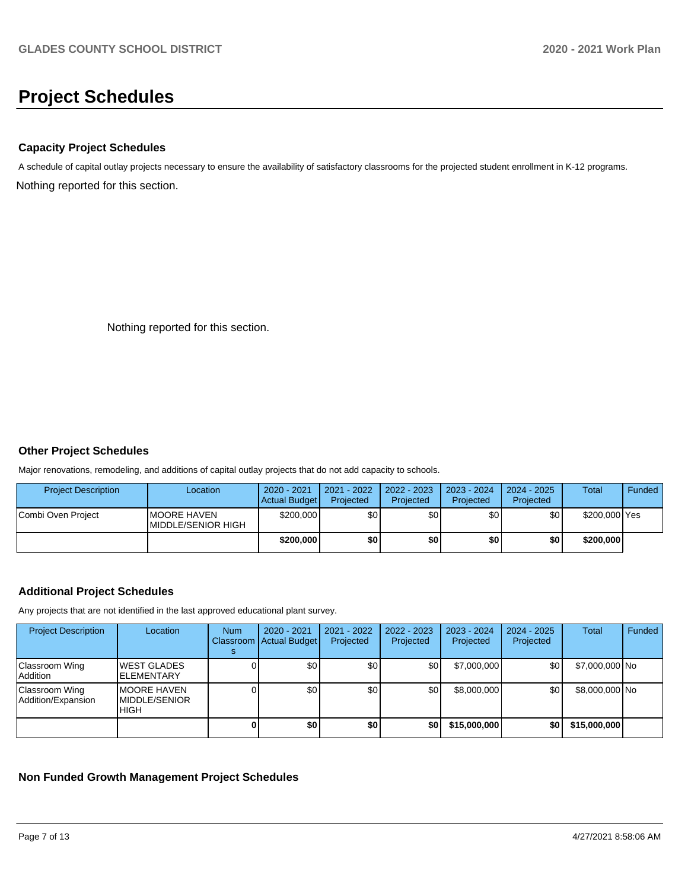# **Project Schedules**

## **Capacity Project Schedules**

Nothing reported for this section. A schedule of capital outlay projects necessary to ensure the availability of satisfactory classrooms for the projected student enrollment in K-12 programs.

Nothing reported for this section.

## **Other Project Schedules**

Major renovations, remodeling, and additions of capital outlay projects that do not add capacity to schools.

| <b>Project Description</b> | Location                                          | 2020 - 2021<br>Actual Budget | 2021 - 2022<br>Projected | 2022 - 2023<br>Projected | 2023 - 2024<br>Projected | 2024 - 2025<br>Projected | Total         | Funded |
|----------------------------|---------------------------------------------------|------------------------------|--------------------------|--------------------------|--------------------------|--------------------------|---------------|--------|
| Combi Oven Project         | <b>IMOORE HAVEN</b><br><b>IMIDDLE/SENIOR HIGH</b> | \$200,000                    | \$0                      | \$0                      | \$0                      | \$0                      | \$200,000 Yes |        |
|                            |                                                   | \$200,000                    | \$0                      | \$0                      | \$0                      | \$0                      | \$200,000     |        |

## **Additional Project Schedules**

Any projects that are not identified in the last approved educational plant survey.

| <b>Project Description</b>           | Location                                           | <b>Num</b> | 2020 - 2021<br>Classroom Actual Budget | 2021 - 2022<br>Projected | $2022 - 2023$<br>Projected | 2023 - 2024<br>Projected | $2024 - 2025$<br>Projected | <b>Total</b>   | Funded |
|--------------------------------------|----------------------------------------------------|------------|----------------------------------------|--------------------------|----------------------------|--------------------------|----------------------------|----------------|--------|
| Classroom Wing<br>  Addition         | <b>WEST GLADES</b><br><b>ELEMENTARY</b>            |            | \$0                                    | \$0                      | \$0                        | \$7,000,000              | \$0                        | \$7,000,000 No |        |
| Classroom Wing<br>Addition/Expansion | <b>MOORE HAVEN</b><br>MIDDLE/SENIOR<br><b>HIGH</b> |            | \$0                                    | \$0                      | \$0                        | \$8,000,000              | \$0                        | \$8,000,000 No |        |
|                                      |                                                    |            | \$0                                    | \$0                      | \$0                        | \$15,000,000             | \$0                        | \$15,000,000   |        |

## **Non Funded Growth Management Project Schedules**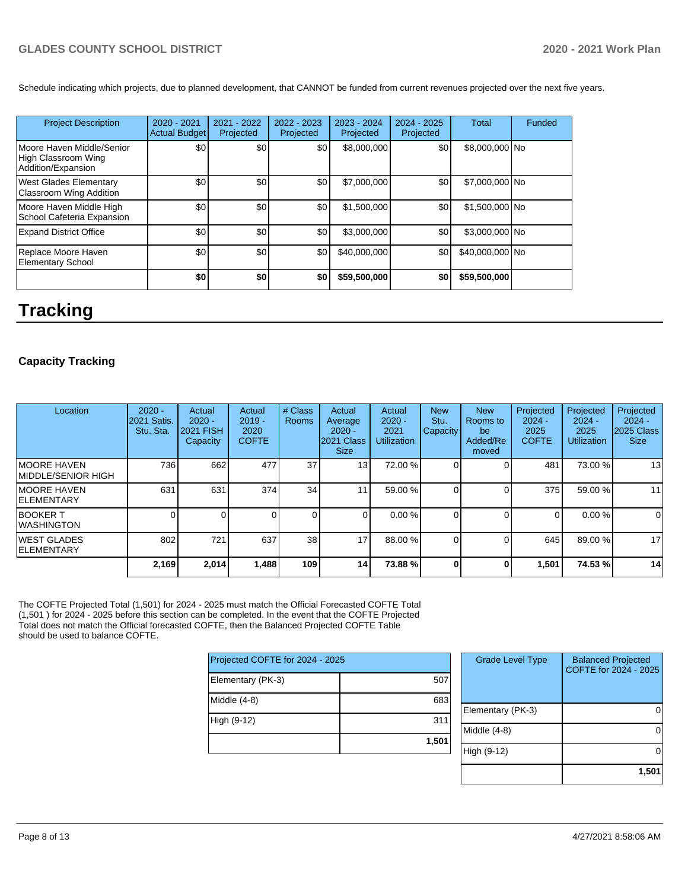## **GLADES COUNTY SCHOOL DISTRICT 2020 - 2021 Work Plan**

Schedule indicating which projects, due to planned development, that CANNOT be funded from current revenues projected over the next five years.

| <b>Project Description</b>                                             | $2020 - 2021$<br><b>Actual Budget</b> | 2021 - 2022<br>Projected | 2022 - 2023<br>Projected | 2023 - 2024<br>Projected | $2024 - 2025$<br>Projected | <b>Total</b>    | Funded |
|------------------------------------------------------------------------|---------------------------------------|--------------------------|--------------------------|--------------------------|----------------------------|-----------------|--------|
| Moore Haven Middle/Senior<br>High Classroom Wing<br>Addition/Expansion | \$0                                   | \$0 <sub>1</sub>         | \$0                      | \$8,000,000              | \$0                        | \$8,000,000 No  |        |
| West Glades Elementary<br><b>Classroom Wing Addition</b>               | \$0                                   | \$0                      | \$0                      | \$7,000,000              | \$0                        | \$7,000,000 No  |        |
| Moore Haven Middle High<br>School Cafeteria Expansion                  | \$0                                   | \$0                      | \$0                      | \$1,500,000              | \$0                        | \$1,500,000 No  |        |
| <b>Expand District Office</b>                                          | \$0                                   | \$0 <sub>1</sub>         | \$0                      | \$3,000,000              | \$0                        | \$3,000,000 No  |        |
| Replace Moore Haven<br><b>Elementary School</b>                        | \$0                                   | \$0                      | \$0                      | \$40,000,000             | \$0                        | \$40,000,000 No |        |
|                                                                        | \$0                                   | \$0                      | \$0                      | \$59,500,000             | \$0                        | \$59,500,000    |        |

# **Tracking**

# **Capacity Tracking**

| Location                            | $2020 -$<br><b>2021 Satis.</b><br>Stu. Sta. | Actual<br>$2020 -$<br><b>2021 FISH</b><br>Capacity | Actual<br>$2019 -$<br>2020<br><b>COFTE</b> | # Class<br>Rooms | Actual<br>Average<br>$2020 -$<br>2021 Class<br><b>Size</b> | Actual<br>$2020 -$<br>2021<br><b>Utilization</b> | <b>New</b><br>Stu.<br><b>Capacity</b> | <b>New</b><br>Rooms to<br>be<br>Added/Re<br>moved | Projected<br>$2024 -$<br>2025<br><b>COFTE</b> | Projected<br>$2024 -$<br>2025<br><b>Utilization</b> | Projected<br>$2024 -$<br>2025 Class<br><b>Size</b> |
|-------------------------------------|---------------------------------------------|----------------------------------------------------|--------------------------------------------|------------------|------------------------------------------------------------|--------------------------------------------------|---------------------------------------|---------------------------------------------------|-----------------------------------------------|-----------------------------------------------------|----------------------------------------------------|
| IMOORE HAVEN<br>IMIDDLE/SENIOR HIGH | 736                                         | 662                                                | 477                                        | 37               | 13 <sup>1</sup>                                            | 72.00 %                                          |                                       |                                                   | 481                                           | 73.00 %                                             | 13                                                 |
| <b>IMOORE HAVEN</b><br> ELEMENTARY  | 631                                         | 631                                                | 374                                        | 34               | 11                                                         | 59.00 %                                          |                                       |                                                   | 375                                           | 59.00 %                                             | 11                                                 |
| <b>BOOKER T</b><br>IWASHINGTON      |                                             |                                                    |                                            |                  |                                                            | 0.00%                                            |                                       |                                                   | 0                                             | 0.00 %                                              | $\overline{0}$                                     |
| IWEST GLADES<br><b>IELEMENTARY</b>  | 802                                         | 721                                                | 637                                        | 38               | 17                                                         | 88.00 %                                          |                                       |                                                   | 645                                           | 89.00 %                                             | 17                                                 |
|                                     | 2,169                                       | 2,014                                              | 1,488                                      | 109              | 14 <sup>1</sup>                                            | 73.88%                                           | n.                                    | 0                                                 | 1,501                                         | 74.53 %                                             | 14                                                 |

The COFTE Projected Total (1,501) for 2024 - 2025 must match the Official Forecasted COFTE Total (1,501 ) for 2024 - 2025 before this section can be completed. In the event that the COFTE Projected Total does not match the Official forecasted COFTE, then the Balanced Projected COFTE Table should be used to balance COFTE.

| Projected COFTE for 2024 - 2025 |       |
|---------------------------------|-------|
| Elementary (PK-3)               | 507   |
| Middle $(4-8)$                  | 683   |
| High (9-12)                     | 311   |
|                                 | 1,501 |

| <b>Grade Level Type</b> | <b>Balanced Projected</b><br>COFTE for 2024 - 2025 |
|-------------------------|----------------------------------------------------|
| Elementary (PK-3)       |                                                    |
| Middle (4-8)            |                                                    |
| High (9-12)             |                                                    |
|                         | $1,50^{\circ}$                                     |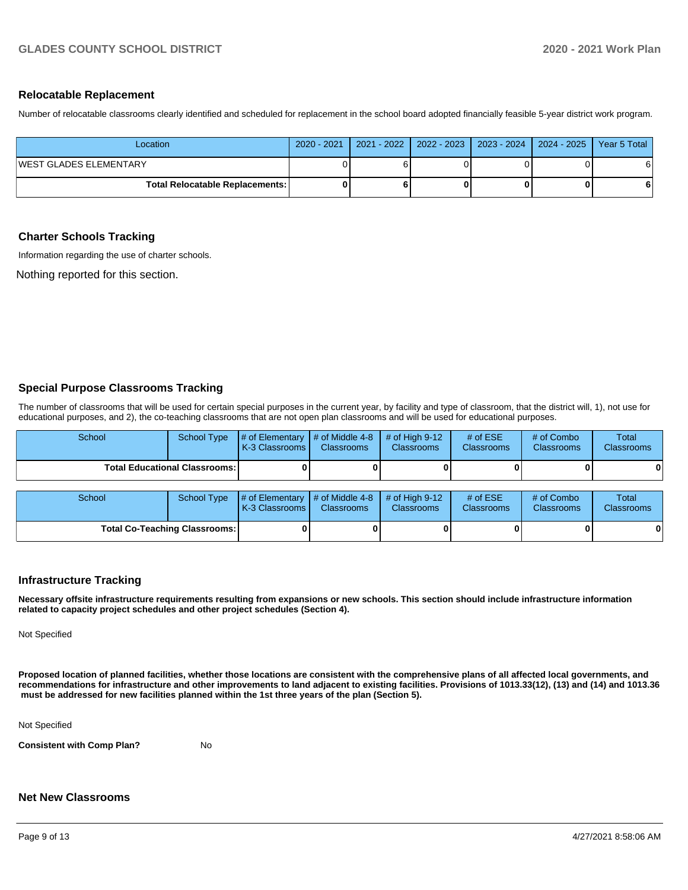### **Relocatable Replacement**

Number of relocatable classrooms clearly identified and scheduled for replacement in the school board adopted financially feasible 5-year district work program.

| Location                                 | 2020 - 2021   2021 - 2022   2022 - 2023   2023 - 2024   2024 - 2025   Year 5 Total |  |   |
|------------------------------------------|------------------------------------------------------------------------------------|--|---|
| WEST GLADES ELEMENTARY                   |                                                                                    |  | 6 |
| <b>Total Relocatable Replacements: I</b> |                                                                                    |  | 6 |

### **Charter Schools Tracking**

Information regarding the use of charter schools.

Nothing reported for this section.

## **Special Purpose Classrooms Tracking**

The number of classrooms that will be used for certain special purposes in the current year, by facility and type of classroom, that the district will, 1), not use for educational purposes, and 2), the co-teaching classrooms that are not open plan classrooms and will be used for educational purposes.

| School | <b>School Type</b>                   | # of Elementary<br>K-3 Classrooms | # of Middle 4-8<br><b>Classrooms</b> | # of High $9-12$<br><b>Classrooms</b> | # of $ESE$<br><b>Classrooms</b> | # of Combo<br><b>Classrooms</b> | <b>Total</b><br>Classrooms |
|--------|--------------------------------------|-----------------------------------|--------------------------------------|---------------------------------------|---------------------------------|---------------------------------|----------------------------|
|        | Total Educational Classrooms: I      |                                   |                                      |                                       |                                 |                                 | 0                          |
| School | <b>School Type</b>                   | # of Elementary<br>K-3 Classrooms | # of Middle 4-8<br><b>Classrooms</b> | # of High $9-12$<br><b>Classrooms</b> | # of $ESE$<br><b>Classrooms</b> | # of Combo<br><b>Classrooms</b> | <b>Total</b><br>Classrooms |
|        | <b>Total Co-Teaching Classrooms:</b> |                                   |                                      |                                       |                                 |                                 | 0                          |

## **Infrastructure Tracking**

**Necessary offsite infrastructure requirements resulting from expansions or new schools. This section should include infrastructure information related to capacity project schedules and other project schedules (Section 4).** 

Not Specified

**Proposed location of planned facilities, whether those locations are consistent with the comprehensive plans of all affected local governments, and recommendations for infrastructure and other improvements to land adjacent to existing facilities. Provisions of 1013.33(12), (13) and (14) and 1013.36 must be addressed for new facilities planned within the 1st three years of the plan (Section 5).** 

Not Specified

**Consistent with Comp Plan?** No

### **Net New Classrooms**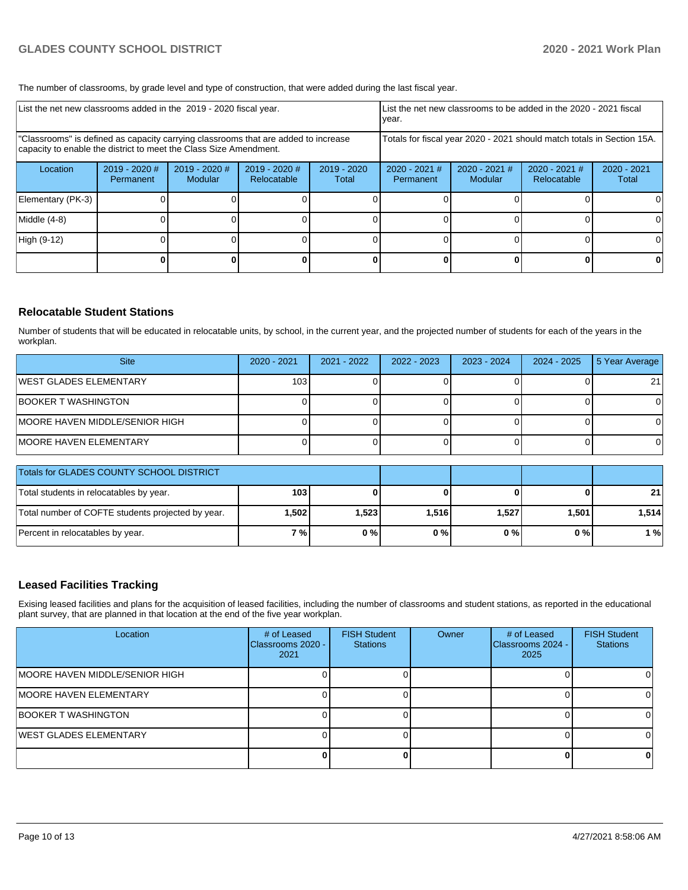The number of classrooms, by grade level and type of construction, that were added during the last fiscal year.

| List the net new classrooms added in the 2019 - 2020 fiscal year. |                                                                                                                                                         |                                 |                              | List the net new classrooms to be added in the 2020 - 2021 fiscal<br>year. |                                                                        |                            |                                |                        |  |
|-------------------------------------------------------------------|---------------------------------------------------------------------------------------------------------------------------------------------------------|---------------------------------|------------------------------|----------------------------------------------------------------------------|------------------------------------------------------------------------|----------------------------|--------------------------------|------------------------|--|
|                                                                   | "Classrooms" is defined as capacity carrying classrooms that are added to increase<br>capacity to enable the district to meet the Class Size Amendment. |                                 |                              |                                                                            | Totals for fiscal year 2020 - 2021 should match totals in Section 15A. |                            |                                |                        |  |
| Location                                                          | $2019 - 2020$ #<br>Permanent                                                                                                                            | 2019 - 2020 #<br><b>Modular</b> | 2019 - 2020 #<br>Relocatable | $2019 - 2020$<br>Total                                                     | 2020 - 2021 #<br>Permanent                                             | $2020 - 2021$ #<br>Modular | $2020 - 2021$ #<br>Relocatable | $2020 - 2021$<br>Total |  |
| Elementary (PK-3)                                                 |                                                                                                                                                         |                                 |                              |                                                                            |                                                                        |                            |                                | 0                      |  |
| Middle (4-8)                                                      |                                                                                                                                                         |                                 |                              |                                                                            |                                                                        |                            |                                | 0                      |  |
| High (9-12)                                                       |                                                                                                                                                         |                                 |                              |                                                                            |                                                                        |                            |                                | $\Omega$               |  |
|                                                                   |                                                                                                                                                         |                                 |                              |                                                                            |                                                                        |                            |                                | 0                      |  |

## **Relocatable Student Stations**

Number of students that will be educated in relocatable units, by school, in the current year, and the projected number of students for each of the years in the workplan.

| <b>Site</b>                            | 2020 - 2021 | 2021 - 2022 | 2022 - 2023 | $2023 - 2024$ | 2024 - 2025 | 5 Year Average |
|----------------------------------------|-------------|-------------|-------------|---------------|-------------|----------------|
| IWEST GLADES ELEMENTARY                | 103         |             |             |               |             | 21             |
| BOOKER T WASHINGTON                    |             |             |             |               |             |                |
| <b>IMOORE HAVEN MIDDLE/SENIOR HIGH</b> |             |             |             |               |             |                |
| MOORE HAVEN ELEMENTARY                 |             |             |             |               |             |                |

| <b>Totals for GLADES COUNTY SCHOOL DISTRICT</b>   |                  |       |       |       |       |                 |
|---------------------------------------------------|------------------|-------|-------|-------|-------|-----------------|
| Total students in relocatables by year.           | 103 <sub>l</sub> |       |       |       |       | 21 <sup>1</sup> |
| Total number of COFTE students projected by year. | ا 502. ا         | 1,523 | 1,516 | 1,527 | 1,501 | 1,514           |
| Percent in relocatables by year.                  | 7 % l            | 0%    | 0%    | 0 % I | 0%    | 1 % l           |

## **Leased Facilities Tracking**

Exising leased facilities and plans for the acquisition of leased facilities, including the number of classrooms and student stations, as reported in the educational plant survey, that are planned in that location at the end of the five year workplan.

| Location                        | # of Leased<br>Classrooms 2020 -<br>2021 | <b>FISH Student</b><br><b>Stations</b> | Owner | # of Leased<br>Classrooms 2024 -<br>2025 | <b>FISH Student</b><br><b>Stations</b> |
|---------------------------------|------------------------------------------|----------------------------------------|-------|------------------------------------------|----------------------------------------|
| IMOORE HAVEN MIDDLE/SENIOR HIGH |                                          |                                        |       |                                          |                                        |
| <b>MOORE HAVEN ELEMENTARY</b>   |                                          |                                        |       |                                          |                                        |
| BOOKER T WASHINGTON             |                                          |                                        |       |                                          |                                        |
| <b>IWEST GLADES ELEMENTARY</b>  |                                          |                                        |       |                                          |                                        |
|                                 |                                          |                                        |       |                                          | 0                                      |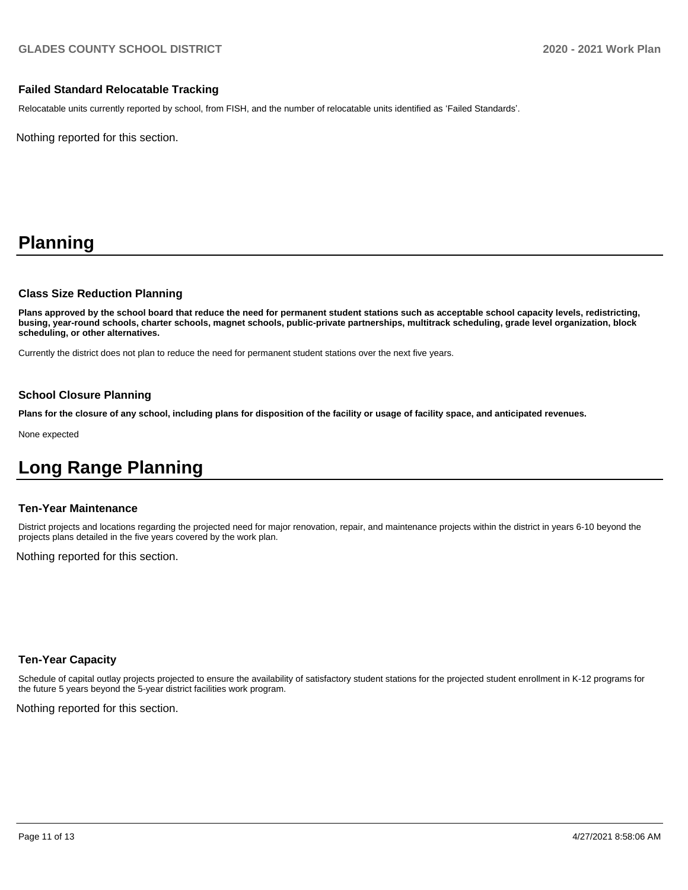## **Failed Standard Relocatable Tracking**

Relocatable units currently reported by school, from FISH, and the number of relocatable units identified as 'Failed Standards'.

Nothing reported for this section.

# **Planning**

### **Class Size Reduction Planning**

**Plans approved by the school board that reduce the need for permanent student stations such as acceptable school capacity levels, redistricting, busing, year-round schools, charter schools, magnet schools, public-private partnerships, multitrack scheduling, grade level organization, block scheduling, or other alternatives.**

Currently the district does not plan to reduce the need for permanent student stations over the next five years.

## **School Closure Planning**

**Plans for the closure of any school, including plans for disposition of the facility or usage of facility space, and anticipated revenues.** 

None expected

# **Long Range Planning**

### **Ten-Year Maintenance**

District projects and locations regarding the projected need for major renovation, repair, and maintenance projects within the district in years 6-10 beyond the projects plans detailed in the five years covered by the work plan.

Nothing reported for this section.

### **Ten-Year Capacity**

Schedule of capital outlay projects projected to ensure the availability of satisfactory student stations for the projected student enrollment in K-12 programs for the future 5 years beyond the 5-year district facilities work program.

Nothing reported for this section.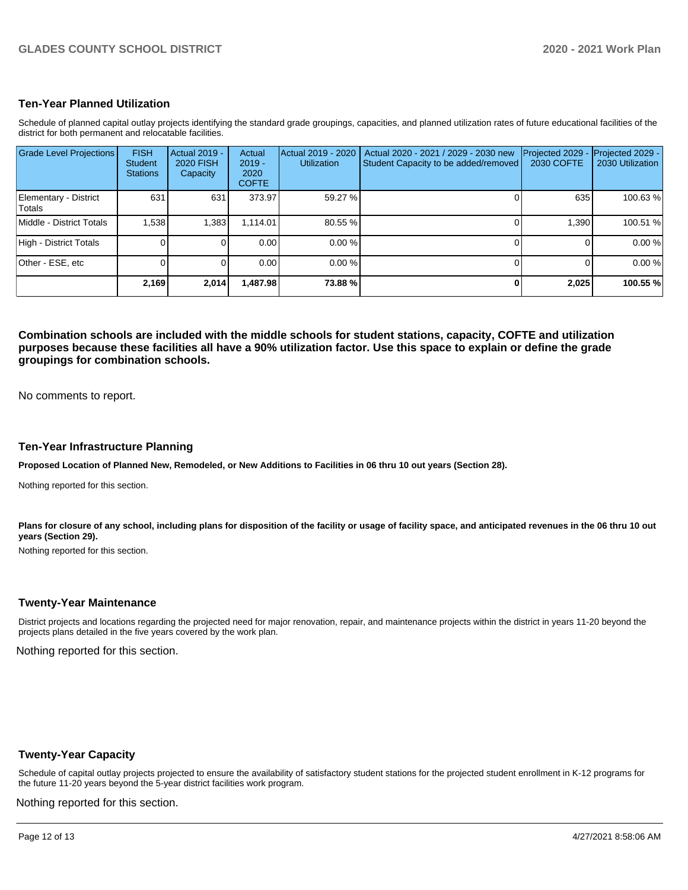## **Ten-Year Planned Utilization**

Schedule of planned capital outlay projects identifying the standard grade groupings, capacities, and planned utilization rates of future educational facilities of the district for both permanent and relocatable facilities.

| <b>Grade Level Projections</b>         | <b>FISH</b><br><b>Student</b><br><b>Stations</b> | Actual 2019 -<br><b>2020 FISH</b><br>Capacity | Actual<br>$2019 -$<br>2020<br><b>COFTE</b> | Actual 2019 - 2020<br><b>Utilization</b> | Actual 2020 - 2021 / 2029 - 2030 new<br>Student Capacity to be added/removed | Projected 2029<br>2030 COFTE | Projected 2029 -<br>2030 Utilization |
|----------------------------------------|--------------------------------------------------|-----------------------------------------------|--------------------------------------------|------------------------------------------|------------------------------------------------------------------------------|------------------------------|--------------------------------------|
| Elementary - District<br><b>Totals</b> | 631                                              | 631                                           | 373.97                                     | 59.27 %                                  |                                                                              | 635                          | 100.63%                              |
| Middle - District Totals               | 1.538                                            | .383                                          | 1.114.01                                   | 80.55 %                                  |                                                                              | 1.390                        | 100.51 %                             |
| High - District Totals                 |                                                  |                                               | 0.00                                       | $0.00 \%$                                |                                                                              |                              | 0.00%                                |
| Other - ESE, etc                       |                                                  |                                               | 0.00                                       | 0.00%                                    |                                                                              |                              | 0.00%                                |
|                                        | 2,169                                            | 2,014                                         | 1,487.98                                   | 73.88%                                   |                                                                              | 2,025                        | 100.55 %                             |

**Combination schools are included with the middle schools for student stations, capacity, COFTE and utilization purposes because these facilities all have a 90% utilization factor. Use this space to explain or define the grade groupings for combination schools.** 

No comments to report.

### **Ten-Year Infrastructure Planning**

**Proposed Location of Planned New, Remodeled, or New Additions to Facilities in 06 thru 10 out years (Section 28).**

Nothing reported for this section.

Plans for closure of any school, including plans for disposition of the facility or usage of facility space, and anticipated revenues in the 06 thru 10 out **years (Section 29).**

Nothing reported for this section.

### **Twenty-Year Maintenance**

District projects and locations regarding the projected need for major renovation, repair, and maintenance projects within the district in years 11-20 beyond the projects plans detailed in the five years covered by the work plan.

Nothing reported for this section.

## **Twenty-Year Capacity**

Schedule of capital outlay projects projected to ensure the availability of satisfactory student stations for the projected student enrollment in K-12 programs for the future 11-20 years beyond the 5-year district facilities work program.

Nothing reported for this section.